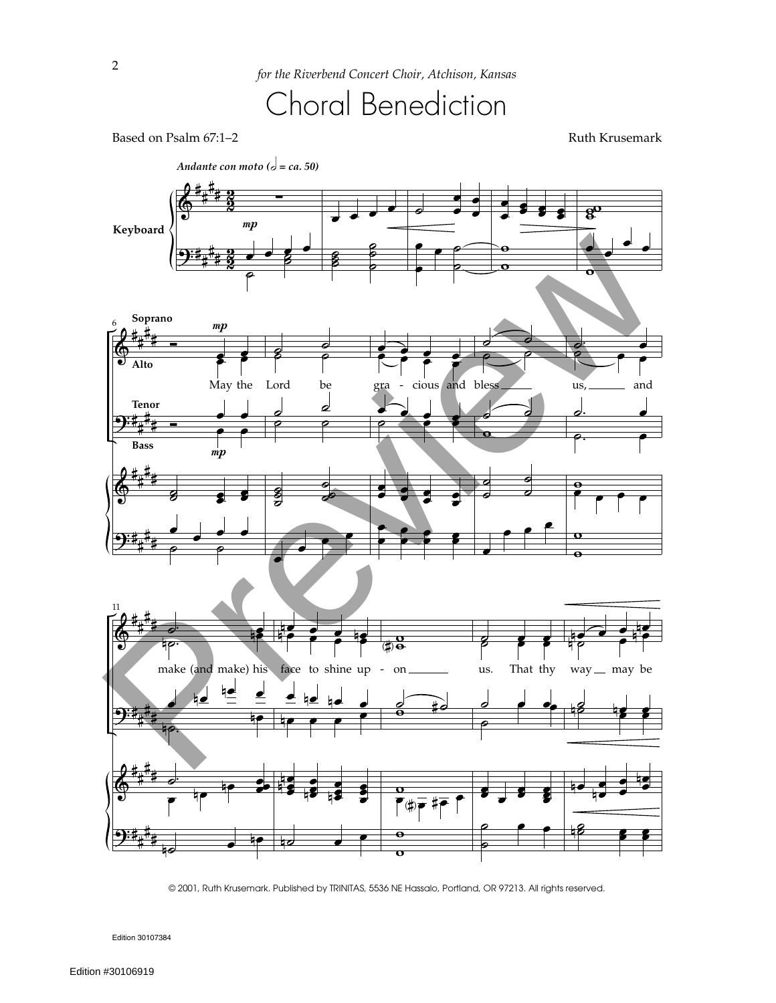

Based on Psalm 67:1–2 Ruth Krusemark



© 2001, Ruth Krusemark. Published by TRINITAS, 5536 NE Hassalo, Portland, OR 97213. All rights reserved.

Edition 30107384

2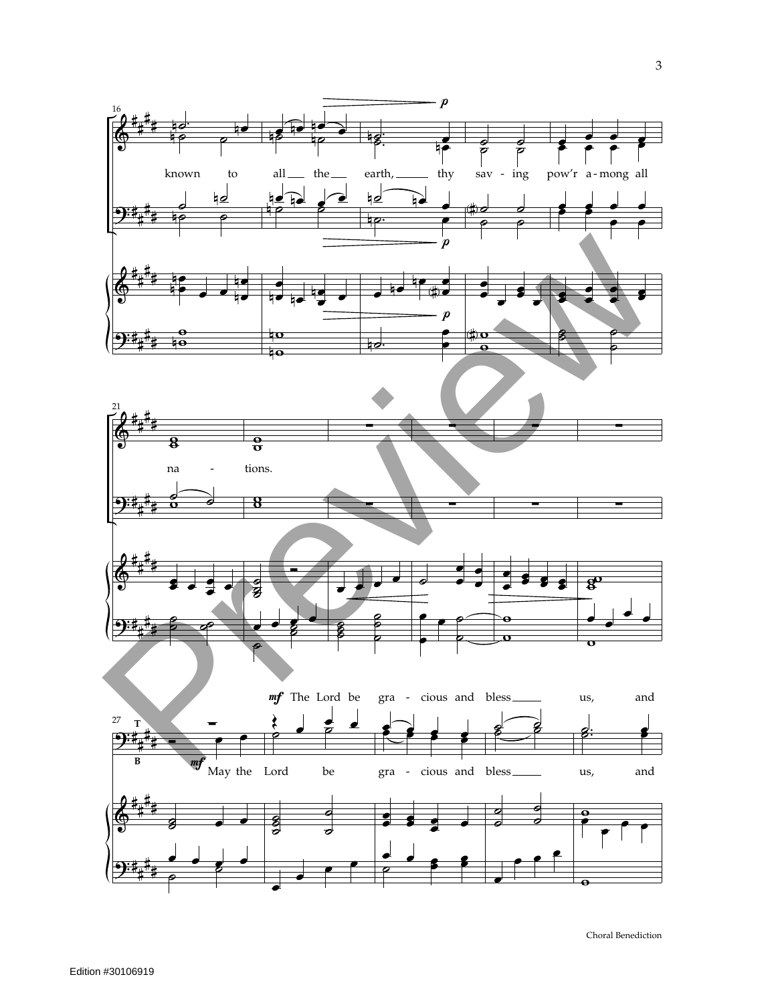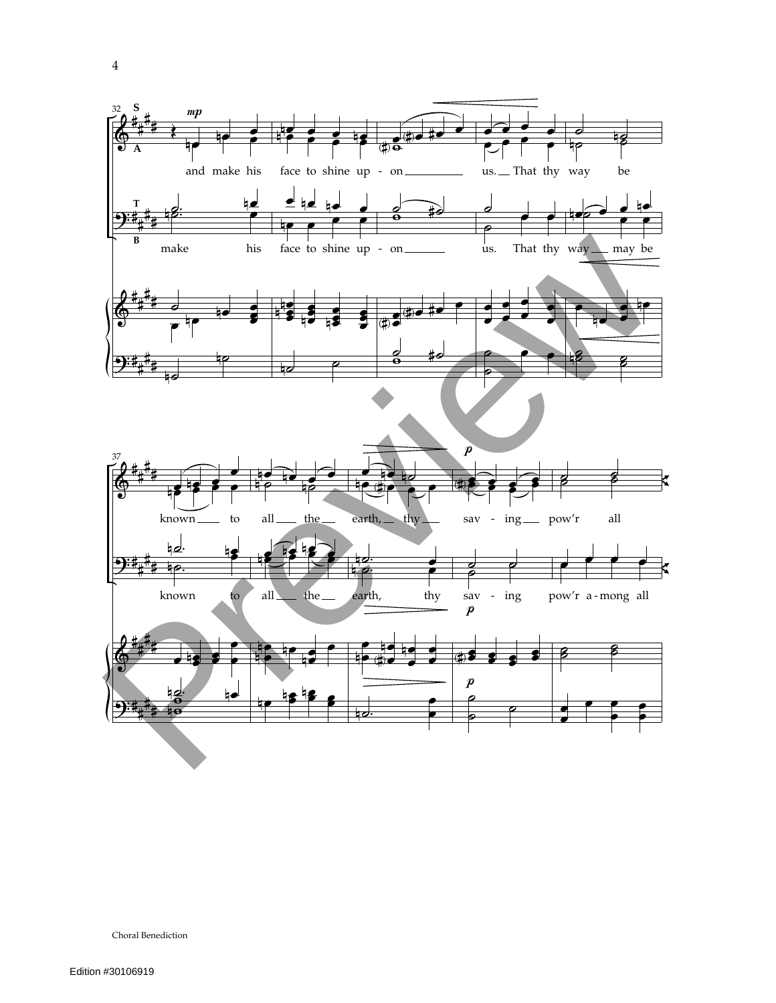

Choral Benediction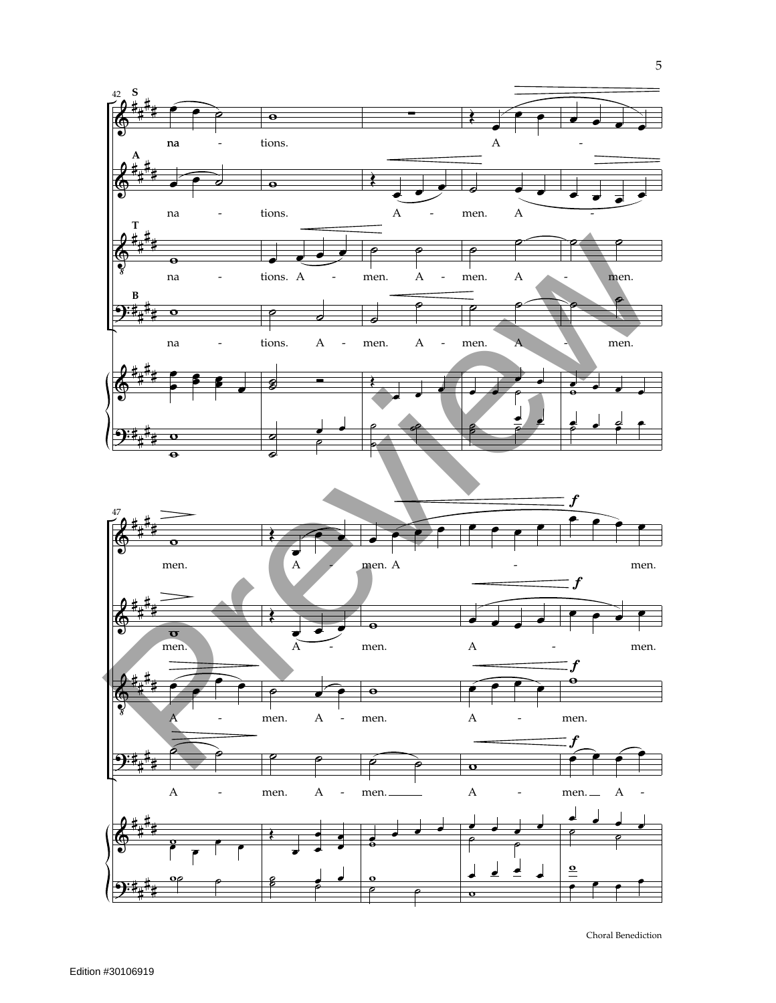

Choral Benediction